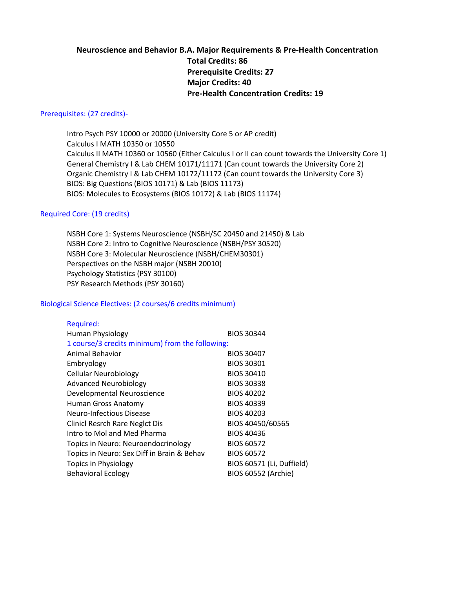# **Neuroscience and Behavior B.A. Major Requirements & Pre-Health Concentration Total Credits: 86 Prerequisite Credits: 27 Major Credits: 40 Pre-Health Concentration Credits: 19**

#### Prerequisites: (27 credits)-

Intro Psych PSY 10000 or 20000 (University Core 5 or AP credit) Calculus I MATH 10350 or 10550 Calculus II MATH 10360 or 10560 (Either Calculus I or II can count towards the University Core 1) General Chemistry I & Lab CHEM 10171/11171 (Can count towards the University Core 2) Organic Chemistry I & Lab CHEM 10172/11172 (Can count towards the University Core 3) BIOS: Big Questions (BIOS 10171) & Lab (BIOS 11173) BIOS: Molecules to Ecosystems (BIOS 10172) & Lab (BIOS 11174)

#### Required Core: (19 credits)

NSBH Core 1: Systems Neuroscience (NSBH/SC 20450 and 21450) & Lab NSBH Core 2: Intro to Cognitive Neuroscience (NSBH/PSY 30520) NSBH Core 3: Molecular Neuroscience (NSBH/CHEM30301) Perspectives on the NSBH major (NSBH 20010) Psychology Statistics (PSY 30100) PSY Research Methods (PSY 30160)

#### Biological Science Electives: (2 courses/6 credits minimum)

| Required:                                       |                           |  |
|-------------------------------------------------|---------------------------|--|
| Human Physiology                                | <b>BIOS 30344</b>         |  |
| 1 course/3 credits minimum) from the following: |                           |  |
| Animal Behavior                                 | <b>BIOS 30407</b>         |  |
| Embryology                                      | <b>BIOS 30301</b>         |  |
| <b>Cellular Neurobiology</b>                    | <b>BIOS 30410</b>         |  |
| <b>Advanced Neurobiology</b>                    | <b>BIOS 30338</b>         |  |
| Developmental Neuroscience                      | <b>BIOS 40202</b>         |  |
| Human Gross Anatomy                             | <b>BIOS 40339</b>         |  |
| Neuro-Infectious Disease                        | <b>BIOS 40203</b>         |  |
| <b>Clinicl Resrch Rare Neglct Dis</b>           | BIOS 40450/60565          |  |
| Intro to Mol and Med Pharma                     | <b>BIOS 40436</b>         |  |
| Topics in Neuro: Neuroendocrinology             | <b>BIOS 60572</b>         |  |
| Topics in Neuro: Sex Diff in Brain & Behav      | <b>BIOS 60572</b>         |  |
| <b>Topics in Physiology</b>                     | BIOS 60571 (Li, Duffield) |  |
| <b>Behavioral Ecology</b>                       | BIOS 60552 (Archie)       |  |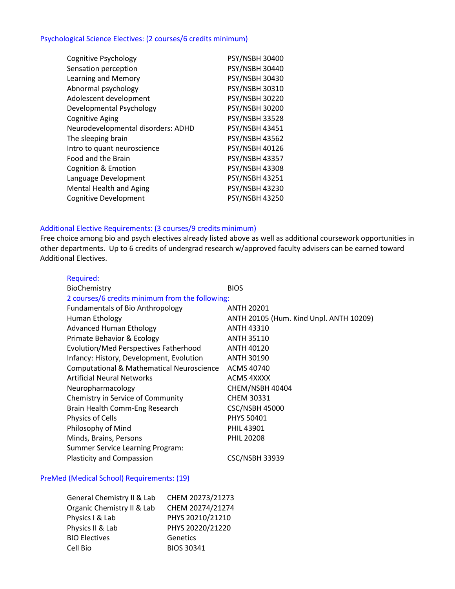## Psychological Science Electives: (2 courses/6 credits minimum)

| <b>Cognitive Psychology</b>        | PSY/NSBH 30400        |
|------------------------------------|-----------------------|
| Sensation perception               | <b>PSY/NSBH 30440</b> |
| Learning and Memory                | <b>PSY/NSBH 30430</b> |
| Abnormal psychology                | <b>PSY/NSBH 30310</b> |
| Adolescent development             | <b>PSY/NSBH 30220</b> |
| Developmental Psychology           | <b>PSY/NSBH 30200</b> |
| <b>Cognitive Aging</b>             | <b>PSY/NSBH 33528</b> |
| Neurodevelopmental disorders: ADHD | <b>PSY/NSBH 43451</b> |
| The sleeping brain                 | <b>PSY/NSBH 43562</b> |
| Intro to quant neuroscience        | <b>PSY/NSBH 40126</b> |
| Food and the Brain                 | <b>PSY/NSBH 43357</b> |
| Cognition & Emotion                | <b>PSY/NSBH 43308</b> |
| Language Development               | PSY/NSBH 43251        |
| <b>Mental Health and Aging</b>     | <b>PSY/NSBH 43230</b> |
| <b>Cognitive Development</b>       | <b>PSY/NSBH 43250</b> |

### Additional Elective Requirements: (3 courses/9 credits minimum)

Free choice among bio and psych electives already listed above as well as additional coursework opportunities in other departments. Up to 6 credits of undergrad research w/approved faculty advisers can be earned toward Additional Electives.

| Required:                                            |                                         |  |
|------------------------------------------------------|-----------------------------------------|--|
| BioChemistry                                         | <b>BIOS</b>                             |  |
| 2 courses/6 credits minimum from the following:      |                                         |  |
| <b>Fundamentals of Bio Anthropology</b>              | <b>ANTH 20201</b>                       |  |
| Human Ethology                                       | ANTH 20105 (Hum. Kind Unpl. ANTH 10209) |  |
| <b>Advanced Human Ethology</b>                       | <b>ANTH 43310</b>                       |  |
| Primate Behavior & Ecology                           | <b>ANTH 35110</b>                       |  |
| Evolution/Med Perspectives Fatherhood                | <b>ANTH 40120</b>                       |  |
| Infancy: History, Development, Evolution             | <b>ANTH 30190</b>                       |  |
| <b>Computational &amp; Mathematical Neuroscience</b> | ACMS 40740                              |  |
| <b>Artificial Neural Networks</b>                    | <b>ACMS 4XXXX</b>                       |  |
| Neuropharmacology                                    | CHEM/NSBH 40404                         |  |
| Chemistry in Service of Community                    | <b>CHEM 30331</b>                       |  |
| Brain Health Comm-Eng Research                       | <b>CSC/NSBH 45000</b>                   |  |
| <b>Physics of Cells</b>                              | <b>PHYS 50401</b>                       |  |
| Philosophy of Mind                                   | <b>PHIL 43901</b>                       |  |
| Minds, Brains, Persons                               | <b>PHIL 20208</b>                       |  |
| <b>Summer Service Learning Program:</b>              |                                         |  |
| <b>Plasticity and Compassion</b>                     | <b>CSC/NSBH 33939</b>                   |  |
|                                                      |                                         |  |

### PreMed (Medical School) Requirements: (19)

| General Chemistry II & Lab | CHEM 20273/21273  |
|----------------------------|-------------------|
| Organic Chemistry II & Lab | CHEM 20274/21274  |
| Physics I & Lab            | PHYS 20210/21210  |
| Physics II & Lab           | PHYS 20220/21220  |
| <b>BIO Electives</b>       | Genetics          |
| Cell Bio                   | <b>BIOS 30341</b> |